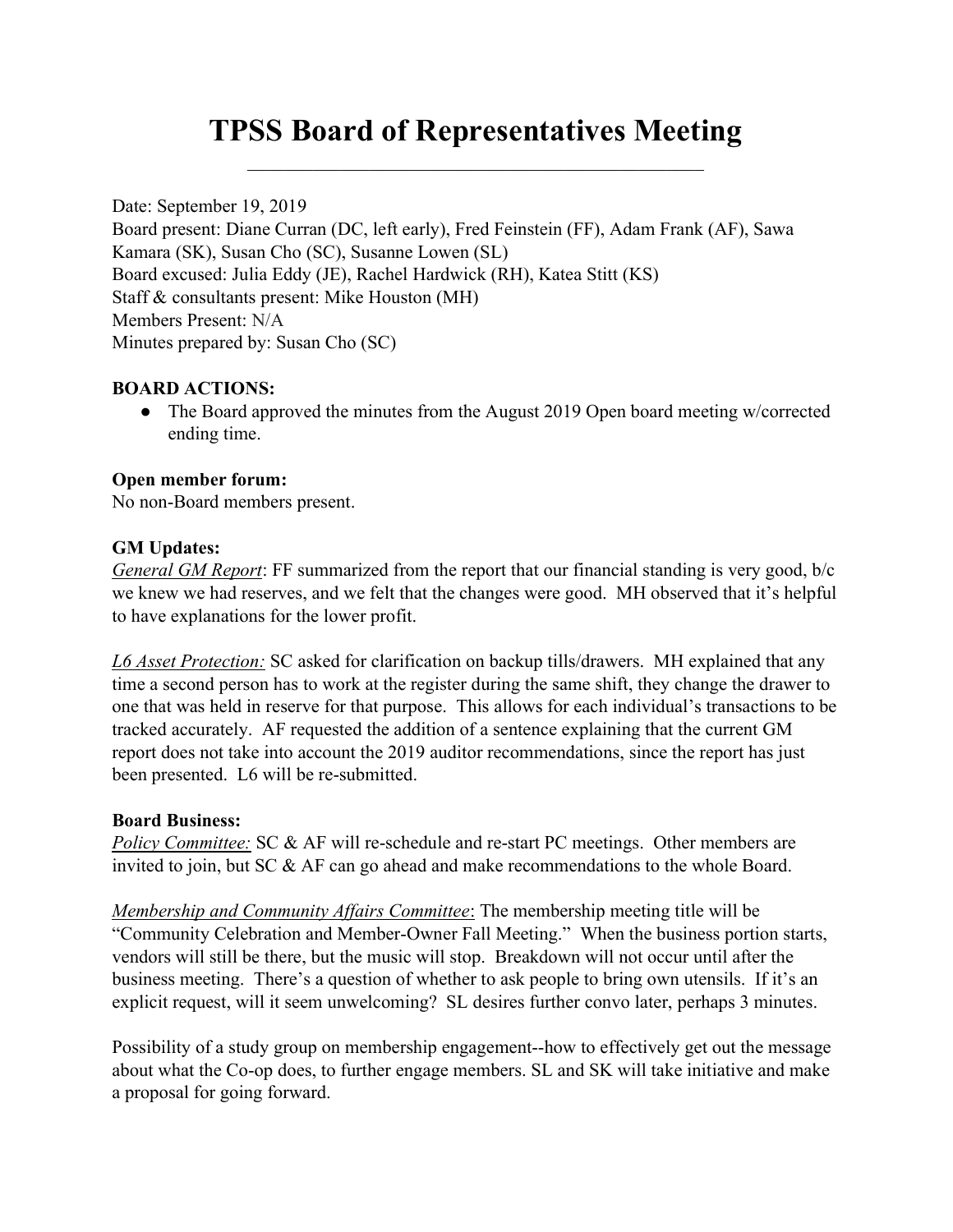# TPSS Board of Representatives Meeting

Date: September 19, 2019 Board present: Diane Curran (DC, left early), Fred Feinstein (FF), Adam Frank (AF), Sawa Kamara (SK), Susan Cho (SC), Susanne Lowen (SL) Board excused: Julia Eddy (JE), Rachel Hardwick (RH), Katea Stitt (KS) Staff & consultants present: Mike Houston (MH) Members Present: N/A Minutes prepared by: Susan Cho (SC)

### BOARD ACTIONS:

• The Board approved the minutes from the August 2019 Open board meeting w/corrected ending time.

### Open member forum:

No non-Board members present.

#### GM Updates:

General GM Report: FF summarized from the report that our financial standing is very good, b/c we knew we had reserves, and we felt that the changes were good. MH observed that it's helpful to have explanations for the lower profit.

L6 Asset Protection: SC asked for clarification on backup tills/drawers. MH explained that any time a second person has to work at the register during the same shift, they change the drawer to one that was held in reserve for that purpose. This allows for each individual's transactions to be tracked accurately. AF requested the addition of a sentence explaining that the current GM report does not take into account the 2019 auditor recommendations, since the report has just been presented. L6 will be re-submitted.

#### Board Business:

Policy Committee: SC & AF will re-schedule and re-start PC meetings. Other members are invited to join, but SC & AF can go ahead and make recommendations to the whole Board.

Membership and Community Affairs Committee: The membership meeting title will be "Community Celebration and Member-Owner Fall Meeting." When the business portion starts, vendors will still be there, but the music will stop. Breakdown will not occur until after the business meeting. There's a question of whether to ask people to bring own utensils. If it's an explicit request, will it seem unwelcoming? SL desires further convo later, perhaps 3 minutes.

Possibility of a study group on membership engagement--how to effectively get out the message about what the Co-op does, to further engage members. SL and SK will take initiative and make a proposal for going forward.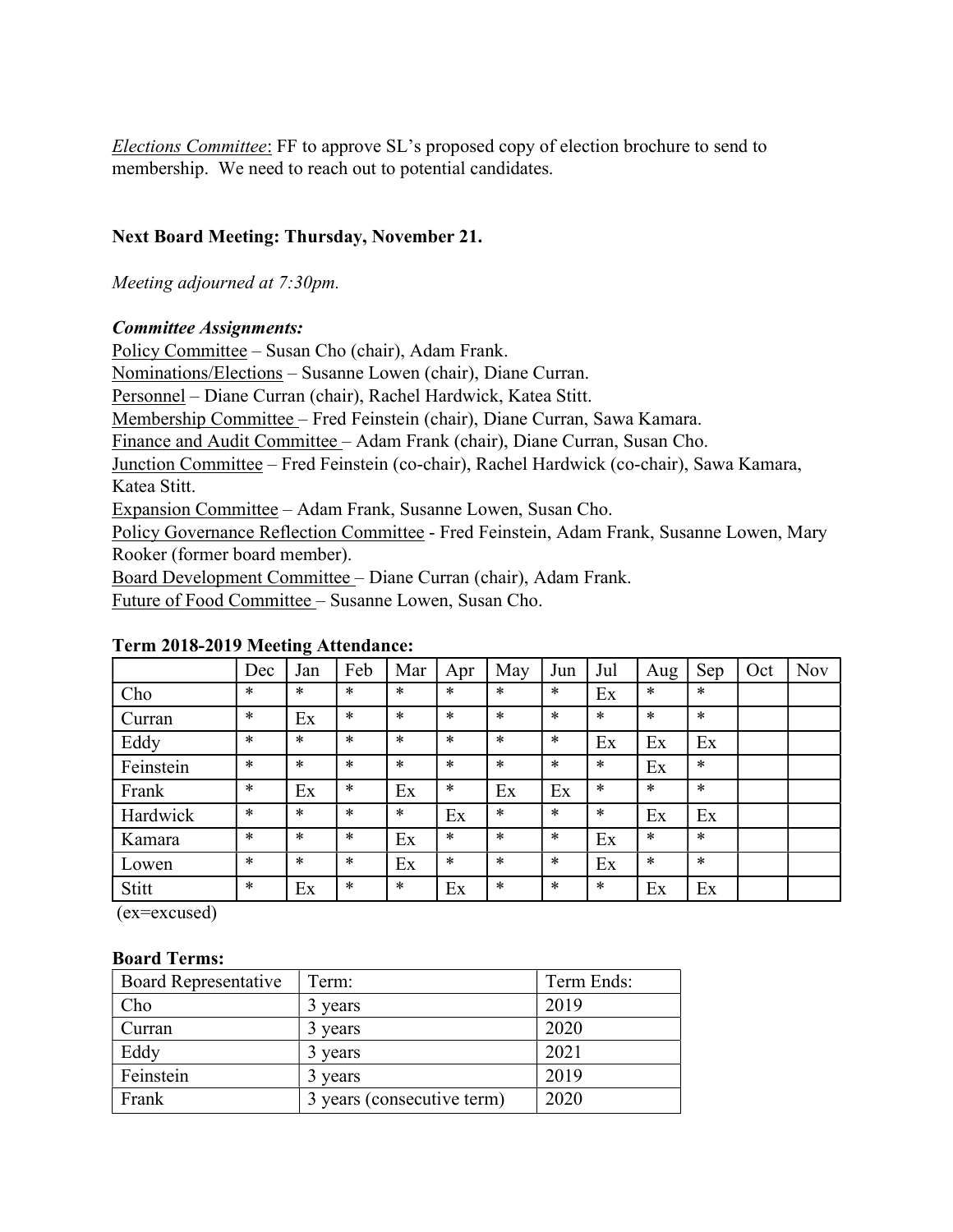Elections Committee: FF to approve SL's proposed copy of election brochure to send to membership. We need to reach out to potential candidates.

# Next Board Meeting: Thursday, November 21.

Meeting adjourned at 7:30pm.

### Committee Assignments:

Policy Committee – Susan Cho (chair), Adam Frank.

Nominations/Elections – Susanne Lowen (chair), Diane Curran.

Personnel – Diane Curran (chair), Rachel Hardwick, Katea Stitt.

Membership Committee – Fred Feinstein (chair), Diane Curran, Sawa Kamara.

Finance and Audit Committee – Adam Frank (chair), Diane Curran, Susan Cho.

Junction Committee – Fred Feinstein (co-chair), Rachel Hardwick (co-chair), Sawa Kamara, Katea Stitt.

Expansion Committee – Adam Frank, Susanne Lowen, Susan Cho.

Policy Governance Reflection Committee - Fred Feinstein, Adam Frank, Susanne Lowen, Mary Rooker (former board member).

Board Development Committee – Diane Curran (chair), Adam Frank.

Future of Food Committee – Susanne Lowen, Susan Cho.

# Dec Jan | Feb | Mar | Apr | May | Jun | Jul | Aug | Sep | Oct | Nov Cho  $\vert * \vert * \vert * \vert * \vert * \vert * \vert * \vert * \vert \vert_{\text{Ex}} \vert * \vert * \vert * \vert * \vert$ Curran |\*  $|Ex|$  \* |\* |\* |\* |\* |\* |\* |\* Eddy \* \* \* \* \* \* \* Ex Ex Ex Feinstein \* \* \* \* \* \* \* \* Ex \* Frank \* Ex \* Ex \* Ex Ex \* \* \* Hardwick  $| * | * | * | * | \text{Ex } | * | * | * | \text{Ex } | \text{Ex } | \text{Ex }$

Kamara \* \* \* Ex \* \* \* Ex \* \* Lowen  $| * | * | * | \text{Ex } | * | * | * | \text{Ex } | * | *$ Stitt  $*$  Ex  $*$  Ex  $*$  Ex  $*$   $*$  Ex Ex

# Term 2018-2019 Meeting Attendance:

(ex=excused)

#### Board Terms:

| <b>Board Representative</b> | Term:                      | Term Ends: |
|-----------------------------|----------------------------|------------|
| Cho                         | 3 years                    | 2019       |
| Curran                      | 3 years                    | 2020       |
| Eddy                        | 3 years                    | 2021       |
| Feinstein                   | 3 years                    | 2019       |
| Frank                       | 3 years (consecutive term) | 2020       |